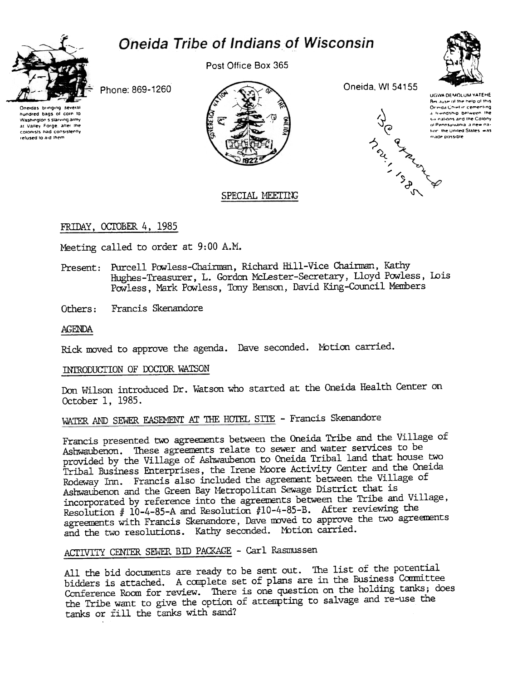# Oneida Tribe of Indians of Wisconsin



Post Office Box 365



Phone: 869-1260

Oneidas bringing several hundred bags of corn to Washington's starving army at Valley Forge, after the colonists had consistently refused to aid them



Oneida, WI 54155



UGWA DEMOLUM YATEHE Because of the help of this Orinda Chief in cementing a triendship between the six nations and the Colony ol Pennsylvania, a new nafion, the United States, was made possible

## SPECIAL MEETING

## FRIDAY, OCTOBER 4, 1985

Meeting called to order at 9:00 A.M.

- Present: Purcell Powless-Chairman, Richard Hill-Vice Chairman, Kathy Hughes-Treasurer, L. Gordon McLester-Secretary, Lloyd Powless, Lois Powless, Mark Powless, Tony Benson, David King-Council Members
- Francis Skenandore Others:

#### AGENDA

Rick moved to approve the agenda. Dave seconded. Motion carried.

#### INTRODUCTION OF DOCTOR WATSON

Don Wilson introduced Dr. Watson who started at the Oneida Health Center on October 1, 1985.

## WATER AND SEWER EASEMENT AT THE HOTEL SITE - Francis Skenandore

Francis presented two agreements between the Oneida Tribe and the Village of Ashwaubenon. These agreements relate to sewer and water services to be provided by the Village of Ashwaubenon to Oneida Tribal land that house two Tribal Business Enterprises, the Irene Moore Activity Center and the Oneida Rodeway Inn. Francis also included the agreement between the Village of Ashwaubenon and the Green Bay Metropolitan Sewage District that is incorporated by reference into the agreements between the Tribe and Village, Resolution #  $10-4-85-A$  and Resolution #10-4-85-B. After reviewing the agreements with Francis Skenandore, Dave moved to approve the two agreements and the two resolutions. Kathy seconded. Motion carried.

## ACTIVITY CENTER SEWER BID PACKAGE - Carl Rasmussen

All the bid documents are ready to be sent out. The list of the potential bidders is attached. A complete set of plans are in the Business Committee Conference Room for review. There is one question on the holding tanks; does the Tribe want to give the option of attempting to salvage and re-use the tanks or fill the tanks with sand?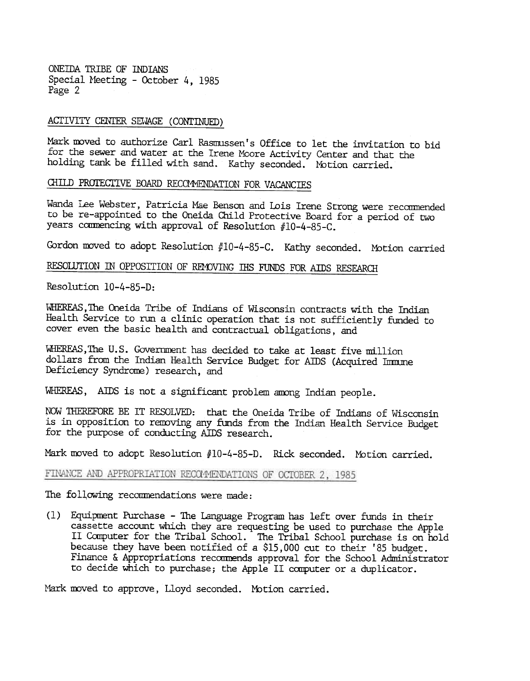ONEIDA TRIBE OF INDIANS Special Meeting - October 4, 1985 Page 2

## ACTIVITY CENTER SEWAGE (CONTINUED)

Mark moved to authorize Carl Rasmussen's Office to let the invitation to bid for the sewer and water at the Irene Moore Activity Center and that the holding tank be filled with sand. Kathy seconded. Motion carried.

## CHILD PROTECTIVE BOARD RECOMMENDATION FOR VACANCIES

Wanda Lee Webster, Patricia Mae Benson and Lois Irene Strong were recommended to be re-appointed to the Oneida Child Protective Board for a period of two years commencing with approval of Resolution #10-4-85-C.

Gordon moved to adopt Resolution #10-4-85-C. Kathy seconded. Motion carried

## RESOLUTION IN OPPOSITION OF REMOVING IHS FUNDS FOR AIDS RESEARCH

Resolution 10-4-85-D:

WHEREAS, The Oneida Tribe of Indians of Wisconsin contracts with the Indian Health Service to run a clinic operation that is not sufficiently funded to cover even the basic health and contractual obligations, and

WHEREAS, The U.S. Government has decided to take at least five million dollars from the Indian Health Service Budget for AIDS (Acquired Immune Deficiency Syndrome) research, and

WHEREAS, AIDS is not a significant problem among Indian people.

NOW THEREFORE BE IT RESOLVED: that the Oneida Tribe of Indians of Wisconsin is in opposition to removing any funds from the Indian Health Service Budget for the purpose of conducting AIDS research.

Mark moved to adopt Resolution #10-4-85-D. Rick seconded. Motion carried.

#### FINANCE AND APPROPRIATION RECOMMENDATIONS OF OCTOBER 2, 1985

The following recommendations were made:

(1) Equipment Purchase - The Language Program has left over funds in their cassette account which they are requesting be used to purchase the Apple II Computer for the Tribal School. The Tribal School purchase is on hold because they have been notified of a \$15,000 cut to their '85 budget. Finance & Appropriations recommends approval for the School Administrator to decide which to purchase; the Apple II computer or a duplicator.

Mark moved to approve, Lloyd seconded. Motion carried.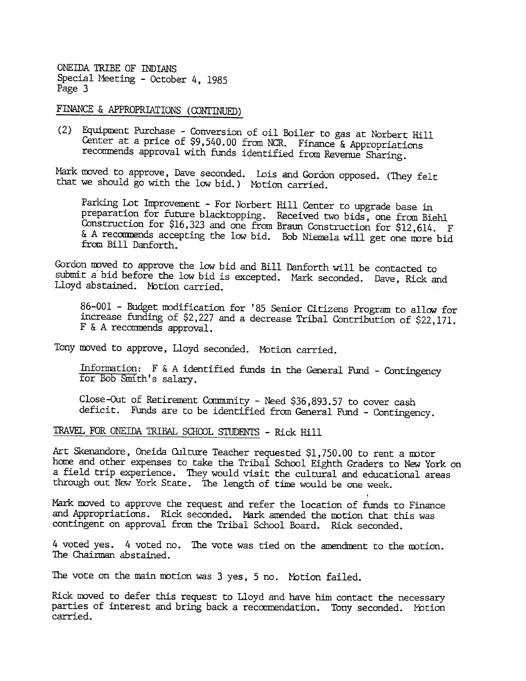ONEIDA TRIBE OF INDIANS Special Meeting - October 4, 1985 Page 3

FINANCE & APPROPRIATIONS (CONTINUED)

(2) Equipment Purchase - Conversion of oil Boiler to gas at Norbert Hill Center at a price of \$9,540.00 from NCR. Finance & Appropriations recommends approval with funds identified from Revenue Sharing.

Mark moved to approve, Dave seconded. Lois and Gordon opposed. (They felt that we should go with the low bid.) Motion carrie

Parking Lot Improvement - For Norbert Hill Center to upgrade base in preparation for future blacktopping. Received two bids, one from Biehl Construction for \$16,323 and one from Braun Construction for \$12,614. F & A recommends accepting the low bid. Bob Niemela will get one more bid from Bill Danforth.

Gordon mved to approve the low bid and Bill Danforth will be contacted to submit a bid before the low bid is excepted. Mark seconded. Dave, Rick and Lloyd abstained. Motion carried.

86-001 - Budget modification for '85 Senior Citizens Program to allow for increase funding of \$2,227 and a decrease Tribal Contribution of \$22,171.  $F$  & A recommends approval.

Tony moved to approve, Lloyd seconded. Motion carried.

Information:  $F \& A$  identified funds in the General Fund - Contingency for Bob Smith's salary.

Close-Out of Retirement Community - Need \$36,893.57 to cover cash deficit. Funds are to be identified from General Fund - Contingency.

TRAVEL FOR ONEIDA TRIBAL SCHOOL STUDENTS - Rick Hill

Art Skenandore, Oneida Culture Teacher requested \$1,750.00 to rent a motor home and other expenses to take the Tribal School Eighth Graders to New York on a field trip experience. They would visit the cultural and educational areas through out New York State. The length of time would be one week. .

Mark moved to approve the request and refer the location of funds to Finance and Appropriations. Rick seconded. Mark amended the motion that this was contingent on approval from the Tribal School Board. Rick seconded.

4 voted yes. 4 voted no. The vote was tied on the amendment to the motion The Chairman abstained.

The vote on the main motion was 3 yes, 5 no. Motion failed.

Rick moved to defer this request to Lloyd and have him contact the necessary parties of interest and bring back a recommendation. Tony seconded. Motion carried.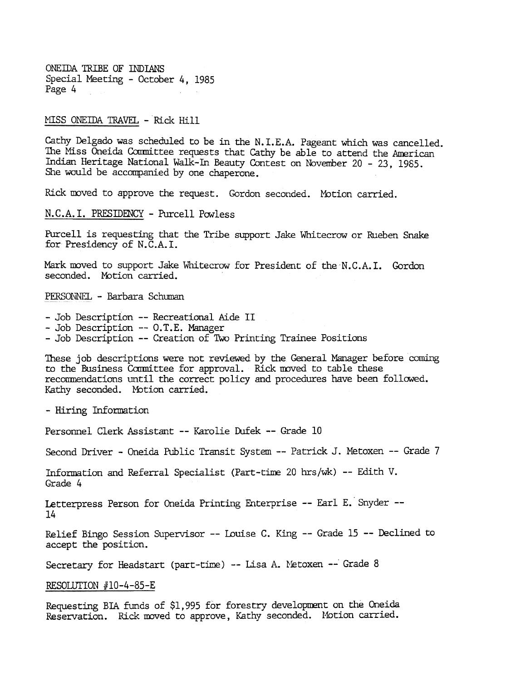ONEIDA TRIBE OF lliDIANS Special Meeting - October 4, 1985 Page 4

#### MISS ONEIDA TRAVEL - Rick Hill

Cathy Delgado was scheduled to be in the N.I.E.A. Pageant which was cancelled. The Miss Oneida Committee requests that Cathy be able to attend the American Indian Heritage National Walk-In Beauty Contest on November 20 - 23, 1985. She would be accompanied by one chaperone.

Rick moved to approve the request. Gordon seconded. Motion carried.

N.C.A. I. PRESIDENCY - Purcell Powless

Purcell is requesting that the Tribe support Jake Whitecrow or Rueben Snake for Presidency of N.C.A.I.

Mark moved to support Jake Whitecrow for President of the N.C.A.I. Gordon seconded. Motion carried.

PERSONNEL - Barbara Schuman

- Job Description -- Recreational Aide II
- Job Description -- O.T.E. Manager
- -Job Description --Creation of TWo Printing Trainee Positions

These job descriptions were not reviewed by the General Manager before coming to the Business Committee for approval. Rick moved to table these recommendations until the correct policy and procedures have been followed. Kathy seconded. Motion carried.

- Hiring Information

Personnel Clerk Assistant -- Karolie Dufek -- Grade 10

Second Driver - Oneida Public Transit System -- Patrick J. Metoxen -- Grade 7

Information and Referral Specialist (Part-time 20 hrs/wk) -- Edith V. Grade 4

Letterpress Person for Oneida Printing Enterprise -- Earl E. Snyder --14

Relief Bingo Session Supervisor -- Louise C. King -- Grade 15 -- Declined to accept the position.

Secretary for Headstart (part-time) -- Lisa A. Metoxen -- Grade 8

RESOLUTION  $#10-4-85-E$ 

Requesting BIA funds of \$1,995 for forestry development on the Oneida Reservation. Rick moved to approve, Kathy seconded. Motion carried.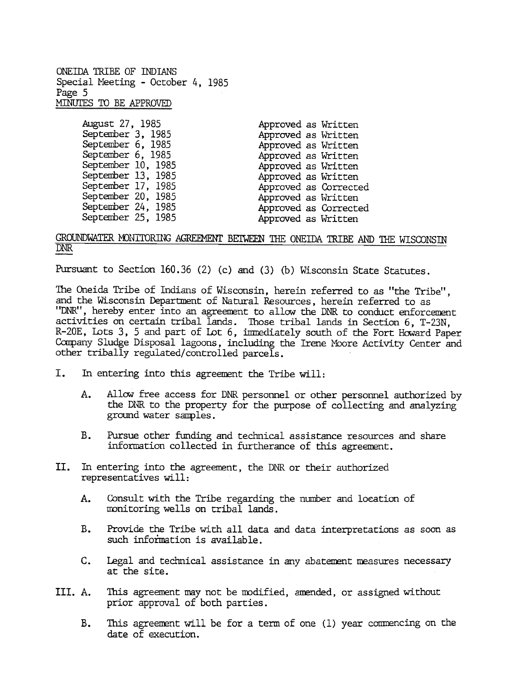ONEIDA'IRIBE OF INDIANS Special Meeting - October 4, 1985 Page 5 MINUTES TO BE APPROVED

| August 27, 1985    | Approved as Written   |
|--------------------|-----------------------|
| September 3, 1985  | Approved as Written   |
| September 6, 1985  | Approved as Written   |
| September 6, 1985  | Approved as Written   |
| September 10, 1985 | Approved as Written   |
| September 13, 1985 | Approved as Written   |
| September 17, 1985 | Approved as Corrected |
| September 20, 1985 | Approved as Written   |
| September 24, 1985 | Approved as Corrected |
| September 25, 1985 | Approved as Written   |

#### GROUNDWATER MONITORING AGREEMENT BEIWEEN THE ONEIDA TRIBE AND THE WISCONSIN DNR-

Pursuant to Section 160.36 (2) (c) and (3) (b) Wisconsin State Statutes.

The Oneida Tribe of Indians of Wisconsin, herein referred to as "the Tribe", and the Wisconsin Department of Natural Resources, herein referred to as "DNR", hereby enter into an agreement to allow the DNR to conduct enforcement activities on certain tribal lands. Those tribal lands in Section 6, T-23N, R-20E, lDts 3, 5 and part of LDt 6, inmediately south of the Fort Howard Paper Company Sludge Disposal lagoons, including the Irene Moore Activity Center and other tribally regulated/ controlled parcels.

- In entering into this agreement the Tribe will: I.
	- $A_{\bullet}$ Allow free access for DNR personnel or odher personnel authorized by the DNR to the property for the purpose of collecting and analyzing ground water samples.
	- B. Pursue other funding and tedhnical assistance resources and share information collected in furtherance of this agreement.
- II. In entering into the agreement. the DNR or their authorized representatives will:
	- Consult with the Tribe regarding the number and loeation of wonitoring wells on tribal lands. A.
	- B. Provide the Tribe with all data and data interpretations as soon as such information is available.
	- c. Legal and tedhnical assistance in any abatement measures necessary at the site.
- This agreement may not be modified, amended, or assigned without prior approval of both parties. III. A.
	- This agreement will be for a term of one (1) year commencing on the date of execution. B.